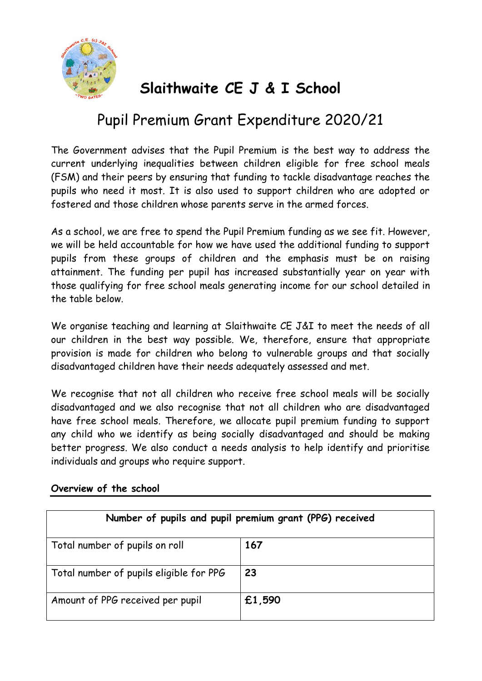

# **Slaithwaite CE J & I School**

## Pupil Premium Grant Expenditure 2020/21

The Government advises that the Pupil Premium is the best way to address the current underlying inequalities between children eligible for free school meals (FSM) and their peers by ensuring that funding to tackle disadvantage reaches the pupils who need it most. It is also used to support children who are adopted or fostered and those children whose parents serve in the armed forces.

As a school, we are free to spend the Pupil Premium funding as we see fit. However, we will be held accountable for how we have used the additional funding to support pupils from these groups of children and the emphasis must be on raising attainment. The funding per pupil has increased substantially year on year with those qualifying for free school meals generating income for our school detailed in the table below.

We organise teaching and learning at Slaithwaite CE J&I to meet the needs of all our children in the best way possible. We, therefore, ensure that appropriate provision is made for children who belong to vulnerable groups and that socially disadvantaged children have their needs adequately assessed and met.

We recognise that not all children who receive free school meals will be socially disadvantaged and we also recognise that not all children who are disadvantaged have free school meals. Therefore, we allocate pupil premium funding to support any child who we identify as being socially disadvantaged and should be making better progress. We also conduct a needs analysis to help identify and prioritise individuals and groups who require support.

| Number of pupils and pupil premium grant (PPG) received |        |  |  |  |
|---------------------------------------------------------|--------|--|--|--|
| Total number of pupils on roll                          | 167    |  |  |  |
| Total number of pupils eligible for PPG                 | 23     |  |  |  |
| Amount of PPG received per pupil                        | £1,590 |  |  |  |

#### **Overview of the school**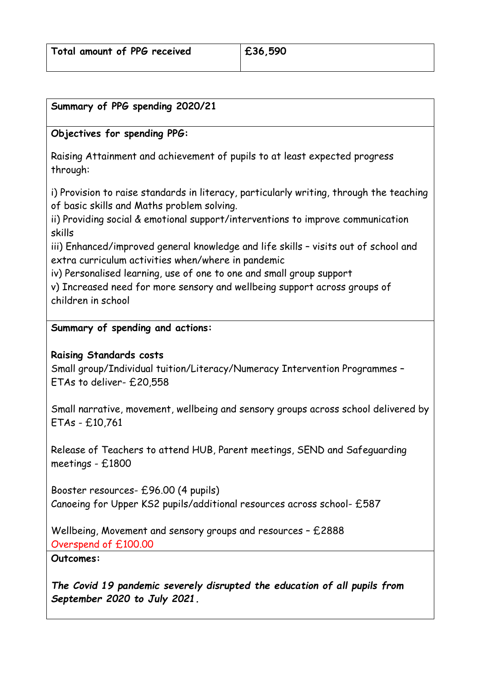#### **Summary of PPG spending 2020/21**

## **Objectives for spending PPG:**

Raising Attainment and achievement of pupils to at least expected progress through:

i) Provision to raise standards in literacy, particularly writing, through the teaching of basic skills and Maths problem solving.

ii) Providing social & emotional support/interventions to improve communication skills

iii) Enhanced/improved general knowledge and life skills – visits out of school and extra curriculum activities when/where in pandemic

iv) Personalised learning, use of one to one and small group support

v) Increased need for more sensory and wellbeing support across groups of children in school

#### **Summary of spending and actions:**

## **Raising Standards costs**

Small group/Individual tuition/Literacy/Numeracy Intervention Programmes – ETAs to deliver- £20,558

Small narrative, movement, wellbeing and sensory groups across school delivered by ETAs - £10,761

Release of Teachers to attend HUB, Parent meetings, SEND and Safeguarding meetings - £1800

Booster resources- £96.00 (4 pupils) Canoeing for Upper KS2 pupils/additional resources across school- £587

Wellbeing, Movement and sensory groups and resources – £2888 Overspend of £100.00

**Outcomes:**

*The Covid 19 pandemic severely disrupted the education of all pupils from September 2020 to July 2021.*